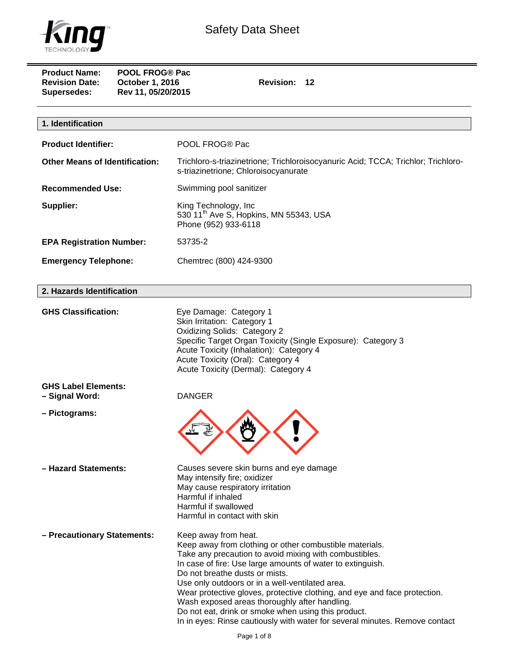

| <b>Product Name:</b><br><b>Revision Date:</b><br>October 1, 2016<br><b>Supersedes:</b> | <b>POOL FROG® Pac</b><br>Revision: 12<br>Rev 11, 05/20/2015                                                                                                                                                                                                                         |  |
|----------------------------------------------------------------------------------------|-------------------------------------------------------------------------------------------------------------------------------------------------------------------------------------------------------------------------------------------------------------------------------------|--|
| 1. Identification                                                                      |                                                                                                                                                                                                                                                                                     |  |
| <b>Product Identifier:</b>                                                             | POOL FROG® Pac                                                                                                                                                                                                                                                                      |  |
| <b>Other Means of Identification:</b>                                                  | Trichloro-s-triazinetrione; Trichloroisocyanuric Acid; TCCA; Trichlor; Trichloro-<br>s-triazinetrione; Chloroisocyanurate                                                                                                                                                           |  |
| <b>Recommended Use:</b>                                                                | Swimming pool sanitizer                                                                                                                                                                                                                                                             |  |
| Supplier:                                                                              | King Technology, Inc<br>530 11 <sup>th</sup> Ave S, Hopkins, MN 55343, USA<br>Phone (952) 933-6118                                                                                                                                                                                  |  |
| <b>EPA Registration Number:</b>                                                        | 53735-2                                                                                                                                                                                                                                                                             |  |
| <b>Emergency Telephone:</b>                                                            | Chemtrec (800) 424-9300                                                                                                                                                                                                                                                             |  |
| 2. Hazards Identification                                                              |                                                                                                                                                                                                                                                                                     |  |
| <b>GHS Classification:</b>                                                             | Eye Damage: Category 1<br>Skin Irritation: Category 1<br><b>Oxidizing Solids: Category 2</b><br>Specific Target Organ Toxicity (Single Exposure): Category 3<br>Acute Toxicity (Inhalation): Category 4<br>Acute Toxicity (Oral): Category 4<br>Acute Toxicity (Dermal): Category 4 |  |
| <b>GHS Label Elements:</b><br>- Signal Word:                                           | <b>DANGER</b>                                                                                                                                                                                                                                                                       |  |

**– Pictograms:** 



**– Hazard Statements:** Causes severe skin burns and eye damage May intensify fire; oxidizer May cause respiratory irritation Harmful if inhaled Harmful if swallowed Harmful in contact with skin

**– Precautionary Statements:** Keep away from heat.

Keep away from clothing or other combustible materials. Take any precaution to avoid mixing with combustibles. In case of fire: Use large amounts of water to extinguish. Do not breathe dusts or mists. Use only outdoors or in a well-ventilated area. Wear protective gloves, protective clothing, and eye and face protection. Wash exposed areas thoroughly after handling. Do not eat, drink or smoke when using this product. In in eyes: Rinse cautiously with water for several minutes. Remove contact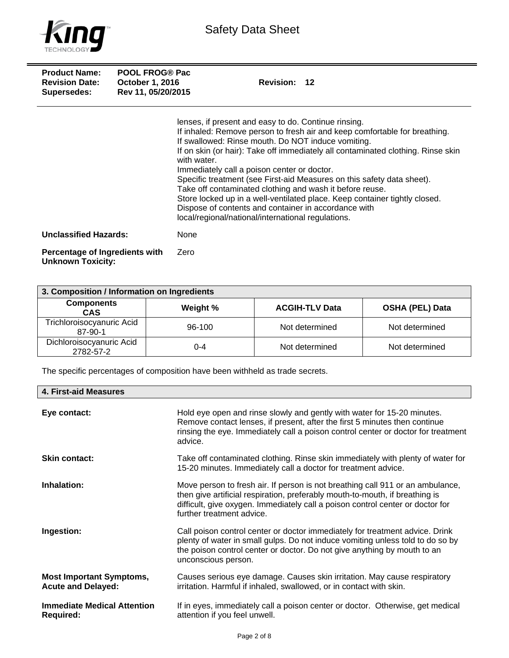

| <b>Product Name:</b><br><b>Revision Date:</b><br>Supersedes: | <b>POOL FROG® Pac</b><br><b>October 1, 2016</b><br>Rev 11, 05/20/2015 | Revision: 12                                                                                                                                                                                                                                                                                                                                                                                                                                                                                                                                                                                                                                                                 |
|--------------------------------------------------------------|-----------------------------------------------------------------------|------------------------------------------------------------------------------------------------------------------------------------------------------------------------------------------------------------------------------------------------------------------------------------------------------------------------------------------------------------------------------------------------------------------------------------------------------------------------------------------------------------------------------------------------------------------------------------------------------------------------------------------------------------------------------|
|                                                              |                                                                       | lenses, if present and easy to do. Continue rinsing.<br>If inhaled: Remove person to fresh air and keep comfortable for breathing.<br>If swallowed: Rinse mouth. Do NOT induce vomiting.<br>If on skin (or hair): Take off immediately all contaminated clothing. Rinse skin<br>with water.<br>Immediately call a poison center or doctor.<br>Specific treatment (see First-aid Measures on this safety data sheet).<br>Take off contaminated clothing and wash it before reuse.<br>Store locked up in a well-ventilated place. Keep container tightly closed.<br>Dispose of contents and container in accordance with<br>local/regional/national/international regulations. |
| <b>Unclassified Hazards:</b>                                 |                                                                       | None                                                                                                                                                                                                                                                                                                                                                                                                                                                                                                                                                                                                                                                                         |
| Percentage of Ingredients with<br><b>Unknown Toxicity:</b>   |                                                                       | Zero                                                                                                                                                                                                                                                                                                                                                                                                                                                                                                                                                                                                                                                                         |

| 3. Composition / Information on Ingredients |          |                       |                        |
|---------------------------------------------|----------|-----------------------|------------------------|
| <b>Components</b><br><b>CAS</b>             | Weight % | <b>ACGIH-TLV Data</b> | <b>OSHA (PEL) Data</b> |
| Trichloroisocyanuric Acid<br>87-90-1        | 96-100   | Not determined        | Not determined         |
| Dichloroisocyanuric Acid<br>2782-57-2       | 0-4      | Not determined        | Not determined         |

The specific percentages of composition have been withheld as trade secrets.

| 4. First-aid Measures                                        |                                                                                                                                                                                                                                                                               |
|--------------------------------------------------------------|-------------------------------------------------------------------------------------------------------------------------------------------------------------------------------------------------------------------------------------------------------------------------------|
| Eye contact:                                                 | Hold eye open and rinse slowly and gently with water for 15-20 minutes.<br>Remove contact lenses, if present, after the first 5 minutes then continue<br>rinsing the eye. Immediately call a poison control center or doctor for treatment<br>advice.                         |
| <b>Skin contact:</b>                                         | Take off contaminated clothing. Rinse skin immediately with plenty of water for<br>15-20 minutes. Immediately call a doctor for treatment advice.                                                                                                                             |
| Inhalation:                                                  | Move person to fresh air. If person is not breathing call 911 or an ambulance,<br>then give artificial respiration, preferably mouth-to-mouth, if breathing is<br>difficult, give oxygen. Immediately call a poison control center or doctor for<br>further treatment advice. |
| Ingestion:                                                   | Call poison control center or doctor immediately for treatment advice. Drink<br>plenty of water in small gulps. Do not induce vomiting unless told to do so by<br>the poison control center or doctor. Do not give anything by mouth to an<br>unconscious person.             |
| <b>Most Important Symptoms,</b><br><b>Acute and Delayed:</b> | Causes serious eye damage. Causes skin irritation. May cause respiratory<br>irritation. Harmful if inhaled, swallowed, or in contact with skin.                                                                                                                               |
| <b>Immediate Medical Attention</b><br><b>Required:</b>       | If in eyes, immediately call a poison center or doctor. Otherwise, get medical<br>attention if you feel unwell.                                                                                                                                                               |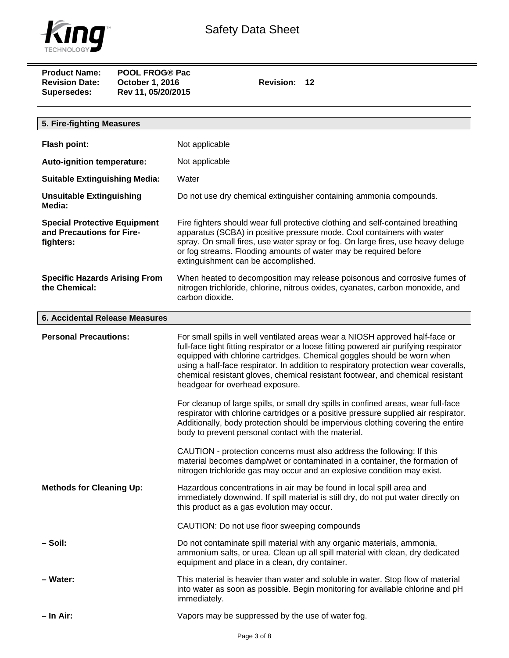

| <b>Product Name:</b>  | <b>POOL FROG® Pac</b>  |
|-----------------------|------------------------|
| <b>Revision Date:</b> | <b>October 1, 2016</b> |
| <b>Supersedes:</b>    | Rev 11, 05/20/2015     |

**Revision: 12** 

| 5. Fire-fighting Measures                                                     |                                                                                                                                                                                                                                                                                                                                                                                                                                                                                                                                                                                                                                                                                                                                                                                                                                                                                                                                              |
|-------------------------------------------------------------------------------|----------------------------------------------------------------------------------------------------------------------------------------------------------------------------------------------------------------------------------------------------------------------------------------------------------------------------------------------------------------------------------------------------------------------------------------------------------------------------------------------------------------------------------------------------------------------------------------------------------------------------------------------------------------------------------------------------------------------------------------------------------------------------------------------------------------------------------------------------------------------------------------------------------------------------------------------|
| <b>Flash point:</b>                                                           | Not applicable                                                                                                                                                                                                                                                                                                                                                                                                                                                                                                                                                                                                                                                                                                                                                                                                                                                                                                                               |
| Auto-ignition temperature:                                                    | Not applicable                                                                                                                                                                                                                                                                                                                                                                                                                                                                                                                                                                                                                                                                                                                                                                                                                                                                                                                               |
| <b>Suitable Extinguishing Media:</b>                                          | Water                                                                                                                                                                                                                                                                                                                                                                                                                                                                                                                                                                                                                                                                                                                                                                                                                                                                                                                                        |
| <b>Unsuitable Extinguishing</b><br>Media:                                     | Do not use dry chemical extinguisher containing ammonia compounds.                                                                                                                                                                                                                                                                                                                                                                                                                                                                                                                                                                                                                                                                                                                                                                                                                                                                           |
| <b>Special Protective Equipment</b><br>and Precautions for Fire-<br>fighters: | Fire fighters should wear full protective clothing and self-contained breathing<br>apparatus (SCBA) in positive pressure mode. Cool containers with water<br>spray. On small fires, use water spray or fog. On large fires, use heavy deluge<br>or fog streams. Flooding amounts of water may be required before<br>extinguishment can be accomplished.                                                                                                                                                                                                                                                                                                                                                                                                                                                                                                                                                                                      |
| <b>Specific Hazards Arising From</b><br>the Chemical:                         | When heated to decomposition may release poisonous and corrosive fumes of<br>nitrogen trichloride, chlorine, nitrous oxides, cyanates, carbon monoxide, and<br>carbon dioxide.                                                                                                                                                                                                                                                                                                                                                                                                                                                                                                                                                                                                                                                                                                                                                               |
| <b>6. Accidental Release Measures</b>                                         |                                                                                                                                                                                                                                                                                                                                                                                                                                                                                                                                                                                                                                                                                                                                                                                                                                                                                                                                              |
| <b>Personal Precautions:</b>                                                  | For small spills in well ventilated areas wear a NIOSH approved half-face or<br>full-face tight fitting respirator or a loose fitting powered air purifying respirator<br>equipped with chlorine cartridges. Chemical goggles should be worn when<br>using a half-face respirator. In addition to respiratory protection wear coveralls,<br>chemical resistant gloves, chemical resistant footwear, and chemical resistant<br>headgear for overhead exposure.<br>For cleanup of large spills, or small dry spills in confined areas, wear full-face<br>respirator with chlorine cartridges or a positive pressure supplied air respirator.<br>Additionally, body protection should be impervious clothing covering the entire<br>body to prevent personal contact with the material.<br>CAUTION - protection concerns must also address the following: If this<br>material becomes damp/wet or contaminated in a container, the formation of |
| <b>Methods for Cleaning Up:</b>                                               | nitrogen trichloride gas may occur and an explosive condition may exist.<br>Hazardous concentrations in air may be found in local spill area and<br>immediately downwind. If spill material is still dry, do not put water directly on<br>this product as a gas evolution may occur.<br>CAUTION: Do not use floor sweeping compounds                                                                                                                                                                                                                                                                                                                                                                                                                                                                                                                                                                                                         |
| – Soil:                                                                       | Do not contaminate spill material with any organic materials, ammonia,<br>ammonium salts, or urea. Clean up all spill material with clean, dry dedicated<br>equipment and place in a clean, dry container.                                                                                                                                                                                                                                                                                                                                                                                                                                                                                                                                                                                                                                                                                                                                   |
| - Water:                                                                      | This material is heavier than water and soluble in water. Stop flow of material<br>into water as soon as possible. Begin monitoring for available chlorine and pH<br>immediately.                                                                                                                                                                                                                                                                                                                                                                                                                                                                                                                                                                                                                                                                                                                                                            |
| – In Air:                                                                     | Vapors may be suppressed by the use of water fog.                                                                                                                                                                                                                                                                                                                                                                                                                                                                                                                                                                                                                                                                                                                                                                                                                                                                                            |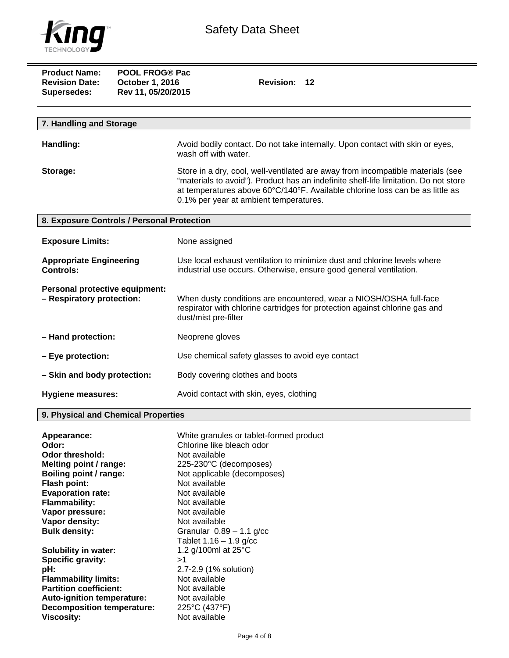

| <b>Product Name:</b><br><b>Revision Date:</b><br><b>Supersedes:</b> | <b>POOL FROG® Pac</b><br>October 1, 2016<br>Rev 11, 05/20/2015 | Revision: 12                                                                                                                                                                                                                                                                                       |  |
|---------------------------------------------------------------------|----------------------------------------------------------------|----------------------------------------------------------------------------------------------------------------------------------------------------------------------------------------------------------------------------------------------------------------------------------------------------|--|
|                                                                     |                                                                |                                                                                                                                                                                                                                                                                                    |  |
| 7. Handling and Storage                                             |                                                                |                                                                                                                                                                                                                                                                                                    |  |
| Handling:                                                           |                                                                | Avoid bodily contact. Do not take internally. Upon contact with skin or eyes,<br>wash off with water.                                                                                                                                                                                              |  |
| Storage:                                                            |                                                                | Store in a dry, cool, well-ventilated are away from incompatible materials (see<br>"materials to avoid"). Product has an indefinite shelf-life limitation. Do not store<br>at temperatures above 60°C/140°F. Available chlorine loss can be as little as<br>0.1% per year at ambient temperatures. |  |
| 8. Exposure Controls / Personal Protection                          |                                                                |                                                                                                                                                                                                                                                                                                    |  |
| <b>Exposure Limits:</b>                                             |                                                                | None assigned                                                                                                                                                                                                                                                                                      |  |
| <b>Appropriate Engineering</b><br><b>Controls:</b>                  |                                                                | Use local exhaust ventilation to minimize dust and chlorine levels where<br>industrial use occurs. Otherwise, ensure good general ventilation.                                                                                                                                                     |  |
| Personal protective equipment:<br>- Respiratory protection:         |                                                                | When dusty conditions are encountered, wear a NIOSH/OSHA full-face<br>respirator with chlorine cartridges for protection against chlorine gas and<br>dust/mist pre-filter                                                                                                                          |  |
| - Hand protection:                                                  |                                                                | Neoprene gloves                                                                                                                                                                                                                                                                                    |  |
| - Eye protection:                                                   |                                                                | Use chemical safety glasses to avoid eye contact                                                                                                                                                                                                                                                   |  |
| - Skin and body protection:                                         |                                                                | Body covering clothes and boots                                                                                                                                                                                                                                                                    |  |
| <b>Hygiene measures:</b>                                            |                                                                | Avoid contact with skin, eyes, clothing                                                                                                                                                                                                                                                            |  |

## **9. Physical and Chemical Properties**

| Appearance:                       | White granules or tablet-formed product |
|-----------------------------------|-----------------------------------------|
| Odor:                             | Chlorine like bleach odor               |
| Odor threshold:                   | Not available                           |
| Melting point / range:            | 225-230°C (decomposes)                  |
| Boiling point / range:            | Not applicable (decomposes)             |
| <b>Flash point:</b>               | Not available                           |
| <b>Evaporation rate:</b>          | Not available                           |
| <b>Flammability:</b>              | Not available                           |
| Vapor pressure:                   | Not available                           |
| Vapor density:                    | Not available                           |
| <b>Bulk density:</b>              | Granular $0.89 - 1.1$ g/cc              |
|                                   | Tablet $1.16 - 1.9$ g/cc                |
| <b>Solubility in water:</b>       | 1.2 g/100ml at 25°C                     |
| Specific gravity:                 | >1                                      |
| pH:                               | 2.7-2.9 (1% solution)                   |
| <b>Flammability limits:</b>       | Not available                           |
| <b>Partition coefficient:</b>     | Not available                           |
| Auto-ignition temperature:        | Not available                           |
| <b>Decomposition temperature:</b> | 225°C (437°F)                           |
| Viscosity:                        | Not available                           |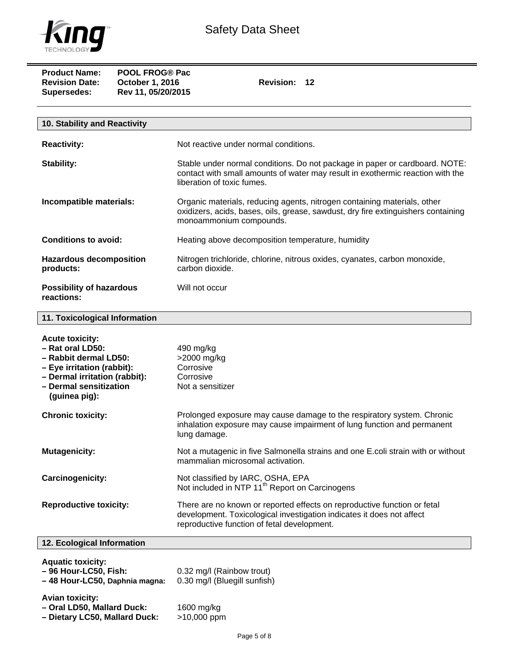

| <b>Product Name:</b><br><b>Revision Date:</b><br><b>Supersedes:</b> | <b>POOL FROG® Pac</b><br><b>October 1, 2016</b><br>Rev 11, 05/20/2015 | <b>Revision: 12</b> |  |
|---------------------------------------------------------------------|-----------------------------------------------------------------------|---------------------|--|
|                                                                     |                                                                       |                     |  |

| 10. Stability and Reactivity                  |                                                                                                                                                                                             |
|-----------------------------------------------|---------------------------------------------------------------------------------------------------------------------------------------------------------------------------------------------|
| <b>Reactivity:</b>                            | Not reactive under normal conditions.                                                                                                                                                       |
| Stability:                                    | Stable under normal conditions. Do not package in paper or cardboard. NOTE:<br>contact with small amounts of water may result in exothermic reaction with the<br>liberation of toxic fumes. |
| Incompatible materials:                       | Organic materials, reducing agents, nitrogen containing materials, other<br>oxidizers, acids, bases, oils, grease, sawdust, dry fire extinguishers containing<br>monoammonium compounds.    |
| Conditions to avoid:                          | Heating above decomposition temperature, humidity                                                                                                                                           |
| <b>Hazardous decomposition</b><br>products:   | Nitrogen trichloride, chlorine, nitrous oxides, cyanates, carbon monoxide,<br>carbon dioxide.                                                                                               |
| <b>Possibility of hazardous</b><br>reactions: | Will not occur                                                                                                                                                                              |

## **11. Toxicological Information**

| <b>Acute toxicity:</b><br>- Rat oral LD50:<br>- Rabbit dermal LD50:<br>- Eye irritation (rabbit):<br>- Dermal irritation (rabbit):<br>- Dermal sensitization<br>(guinea pig): | 490 mg/kg<br>>2000 mg/kg<br>Corrosive<br>Corrosive<br>Not a sensitizer                                                                                                                           |
|-------------------------------------------------------------------------------------------------------------------------------------------------------------------------------|--------------------------------------------------------------------------------------------------------------------------------------------------------------------------------------------------|
| <b>Chronic toxicity:</b>                                                                                                                                                      | Prolonged exposure may cause damage to the respiratory system. Chronic<br>inhalation exposure may cause impairment of lung function and permanent<br>lung damage.                                |
| <b>Mutagenicity:</b>                                                                                                                                                          | Not a mutagenic in five Salmonella strains and one E.coli strain with or without<br>mammalian microsomal activation.                                                                             |
| Carcinogenicity:                                                                                                                                                              | Not classified by IARC, OSHA, EPA<br>Not included in NTP 11 <sup>th</sup> Report on Carcinogens                                                                                                  |
| <b>Reproductive toxicity:</b>                                                                                                                                                 | There are no known or reported effects on reproductive function or fetal<br>development. Toxicological investigation indicates it does not affect<br>reproductive function of fetal development. |
| 12. Ecological Information                                                                                                                                                    |                                                                                                                                                                                                  |
| <b>Aquatic toxicity:</b><br>- 96 Hour-LC50, Fish:<br>-48 Hour-LC50, Daphnia magna:                                                                                            | 0.32 mg/l (Rainbow trout)<br>0.30 mg/l (Bluegill sunfish)                                                                                                                                        |
| <b>Avian toxicity:</b><br>- Oral LD50, Mallard Duck:<br>- Dietary LC50, Mallard Duck:                                                                                         | 1600 mg/kg<br>>10,000 ppm                                                                                                                                                                        |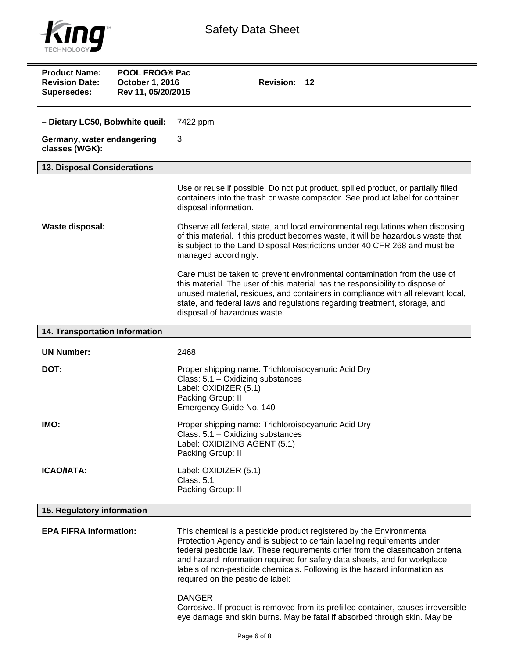

| <b>Product Name:</b><br><b>POOL FROG® Pac</b><br><b>Revision Date:</b><br>October 1, 2016<br>Rev 11, 05/20/2015<br><b>Supersedes:</b> | Revision: 12                                                                                                                                                                                                                                                                                                                                                                                                                       |  |
|---------------------------------------------------------------------------------------------------------------------------------------|------------------------------------------------------------------------------------------------------------------------------------------------------------------------------------------------------------------------------------------------------------------------------------------------------------------------------------------------------------------------------------------------------------------------------------|--|
| - Dietary LC50, Bobwhite quail:                                                                                                       | 7422 ppm                                                                                                                                                                                                                                                                                                                                                                                                                           |  |
| Germany, water endangering<br>classes (WGK):                                                                                          | 3                                                                                                                                                                                                                                                                                                                                                                                                                                  |  |
| 13. Disposal Considerations                                                                                                           |                                                                                                                                                                                                                                                                                                                                                                                                                                    |  |
|                                                                                                                                       | Use or reuse if possible. Do not put product, spilled product, or partially filled<br>containers into the trash or waste compactor. See product label for container<br>disposal information.                                                                                                                                                                                                                                       |  |
| Waste disposal:                                                                                                                       | Observe all federal, state, and local environmental regulations when disposing<br>of this material. If this product becomes waste, it will be hazardous waste that<br>is subject to the Land Disposal Restrictions under 40 CFR 268 and must be<br>managed accordingly.                                                                                                                                                            |  |
|                                                                                                                                       | Care must be taken to prevent environmental contamination from the use of<br>this material. The user of this material has the responsibility to dispose of<br>unused material, residues, and containers in compliance with all relevant local,<br>state, and federal laws and regulations regarding treatment, storage, and<br>disposal of hazardous waste.                                                                        |  |
| 14. Transportation Information                                                                                                        |                                                                                                                                                                                                                                                                                                                                                                                                                                    |  |
| <b>UN Number:</b>                                                                                                                     | 2468                                                                                                                                                                                                                                                                                                                                                                                                                               |  |
| DOT:                                                                                                                                  | Proper shipping name: Trichloroisocyanuric Acid Dry<br>Class: 5.1 - Oxidizing substances<br>Label: OXIDIZER (5.1)<br>Packing Group: II<br>Emergency Guide No. 140                                                                                                                                                                                                                                                                  |  |
| IMO:                                                                                                                                  | Proper shipping name: Trichloroisocyanuric Acid Dry<br>Class: 5.1 - Oxidizing substances<br>Label: OXIDIZING AGENT (5.1)<br>Packing Group: II                                                                                                                                                                                                                                                                                      |  |
| <b>ICAO/IATA:</b>                                                                                                                     | Label: OXIDIZER (5.1)<br><b>Class: 5.1</b><br>Packing Group: II                                                                                                                                                                                                                                                                                                                                                                    |  |
| 15. Regulatory information                                                                                                            |                                                                                                                                                                                                                                                                                                                                                                                                                                    |  |
| <b>EPA FIFRA Information:</b>                                                                                                         | This chemical is a pesticide product registered by the Environmental<br>Protection Agency and is subject to certain labeling requirements under<br>federal pesticide law. These requirements differ from the classification criteria<br>and hazard information required for safety data sheets, and for workplace<br>labels of non-pesticide chemicals. Following is the hazard information as<br>required on the pesticide label: |  |
|                                                                                                                                       | <b>DANGER</b>                                                                                                                                                                                                                                                                                                                                                                                                                      |  |

Corrosive. If product is removed from its prefilled container, causes irreversible eye damage and skin burns. May be fatal if absorbed through skin. May be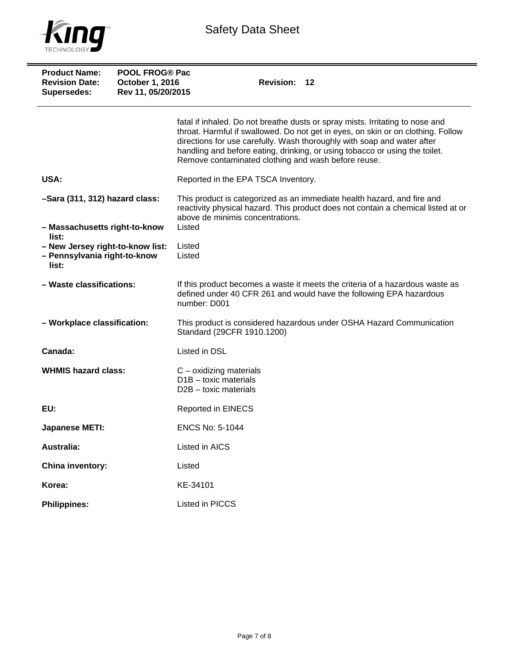

| <b>Product Name:</b><br><b>Revision Date:</b><br>Supersedes:                       | <b>POOL FROG® Pac</b><br>October 1, 2016<br>Rev 11, 05/20/2015 | Revision: 12                                                                                                                                                                                                                                                                                                                                                                       |
|------------------------------------------------------------------------------------|----------------------------------------------------------------|------------------------------------------------------------------------------------------------------------------------------------------------------------------------------------------------------------------------------------------------------------------------------------------------------------------------------------------------------------------------------------|
|                                                                                    |                                                                | fatal if inhaled. Do not breathe dusts or spray mists. Irritating to nose and<br>throat. Harmful if swallowed. Do not get in eyes, on skin or on clothing. Follow<br>directions for use carefully. Wash thoroughly with soap and water after<br>handling and before eating, drinking, or using tobacco or using the toilet.<br>Remove contaminated clothing and wash before reuse. |
| USA:                                                                               |                                                                | Reported in the EPA TSCA Inventory.                                                                                                                                                                                                                                                                                                                                                |
| -Sara (311, 312) hazard class:<br>- Massachusetts right-to-know                    |                                                                | This product is categorized as an immediate health hazard, and fire and<br>reactivity physical hazard. This product does not contain a chemical listed at or<br>above de minimis concentrations.<br>Listed                                                                                                                                                                         |
| list:<br>- New Jersey right-to-know list:<br>- Pennsylvania right-to-know<br>list: |                                                                | Listed<br>Listed                                                                                                                                                                                                                                                                                                                                                                   |
| - Waste classifications:                                                           |                                                                | If this product becomes a waste it meets the criteria of a hazardous waste as<br>defined under 40 CFR 261 and would have the following EPA hazardous<br>number: D001                                                                                                                                                                                                               |
| - Workplace classification:                                                        |                                                                | This product is considered hazardous under OSHA Hazard Communication<br>Standard (29CFR 1910.1200)                                                                                                                                                                                                                                                                                 |
| Canada:                                                                            |                                                                | Listed in DSL                                                                                                                                                                                                                                                                                                                                                                      |
| <b>WHMIS hazard class:</b>                                                         |                                                                | $C$ – oxidizing materials<br>$D1B -$ toxic materials<br>$D2B -$ toxic materials                                                                                                                                                                                                                                                                                                    |
| EU:                                                                                |                                                                | <b>Reported in EINECS</b>                                                                                                                                                                                                                                                                                                                                                          |
| <b>Japanese METI:</b>                                                              |                                                                | <b>ENCS No: 5-1044</b>                                                                                                                                                                                                                                                                                                                                                             |
| Australia:                                                                         |                                                                | Listed in AICS                                                                                                                                                                                                                                                                                                                                                                     |
| <b>China inventory:</b>                                                            |                                                                | Listed                                                                                                                                                                                                                                                                                                                                                                             |
| Korea:                                                                             |                                                                | KE-34101                                                                                                                                                                                                                                                                                                                                                                           |
| <b>Philippines:</b>                                                                |                                                                | Listed in PICCS                                                                                                                                                                                                                                                                                                                                                                    |